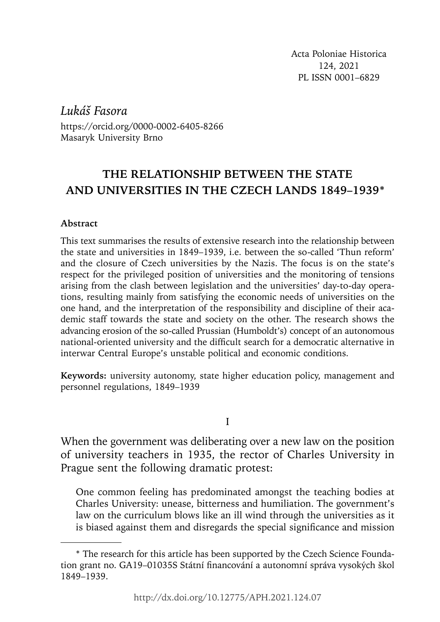Acta Poloniae Historica 124, 2021 PL ISSN 0001–6829

*Lukáš Fasora* 

https://orcid.org/0000-0002-6405-8266 Masaryk University Brno

# **THE RELATIONSHIP BETWEEN THE STATE**  AND UNIVERSITIES IN THE CZECH LANDS 1849-1939<sup>\*</sup>

### **Abstract**

This text summarises the results of extensive research into the relationship between the state and universities in 1849–1939, i.e. between the so-called 'Thun reform' and the closure of Czech universities by the Nazis. The focus is on the state's respect for the privileged position of universities and the monitoring of tensions arising from the clash between legislation and the universities' day-to-day operations, resulting mainly from satisfying the economic needs of universities on the one hand, and the interpretation of the responsibility and discipline of their academic staff towards the state and society on the other. The research shows the advancing erosion of the so-called Prussian (Humboldt's) concept of an autonomous national-oriented university and the difficult search for a democratic alternative in interwar Central Europe's unstable political and economic conditions.

**Keywords:** university autonomy, state higher education policy, management and personnel regulations, 1849–1939

I

When the government was deliberating over a new law on the position of university teachers in 1935, the rector of Charles University in Prague sent the following dramatic protest:

One common feeling has predominated amongst the teaching bodies at Charles University: unease, bitterness and humiliation. The government's law on the curriculum blows like an ill wind through the universities as it is biased against them and disregards the special significance and mission

<sup>\*</sup> The research for this article has been supported by the Czech Science Foundation grant no. GA19–01035S Státní financování a autonomní správa vysokých škol 1849–1939.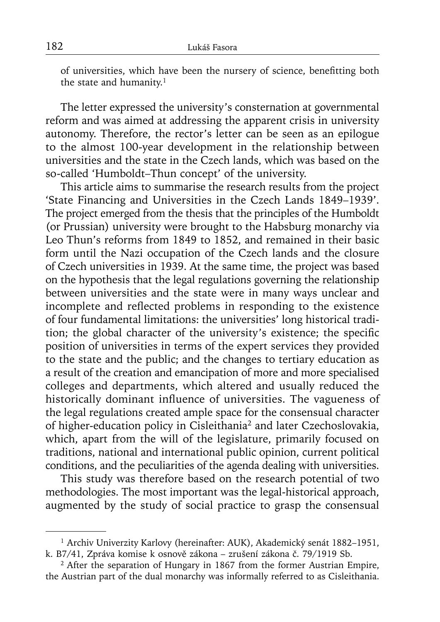of universities, which have been the nursery of science, benefitting both the state and humanity.<sup>1</sup>

The letter expressed the university's consternation at governmental reform and was aimed at addressing the apparent crisis in university autonomy. Therefore, the rector's letter can be seen as an epilogue to the almost 100-year development in the relationship between universities and the state in the Czech lands, which was based on the so-called 'Humboldt–Thun concept' of the university.

This article aims to summarise the research results from the project 'State Financing and Universities in the Czech Lands 1849–1939'. The project emerged from the thesis that the principles of the Humboldt (or Prussian) university were brought to the Habsburg monarchy via Leo Thun's reforms from 1849 to 1852, and remained in their basic form until the Nazi occupation of the Czech lands and the closure of Czech universities in 1939. At the same time, the project was based on the hypothesis that the legal regulations governing the relationship between universities and the state were in many ways unclear and incomplete and reflected problems in responding to the existence of four fundamental limitations: the universities' long historical tradition; the global character of the university's existence; the specific position of universities in terms of the expert services they provided to the state and the public; and the changes to tertiary education as a result of the creation and emancipation of more and more specialised colleges and departments, which altered and usually reduced the historically dominant influence of universities. The vagueness of the legal regulations created ample space for the consensual character of higher-education policy in Cisleithania2 and later Czechoslovakia, which, apart from the will of the legislature, primarily focused on traditions, national and international public opinion, current political conditions, and the peculiarities of the agenda dealing with universities.

This study was therefore based on the research potential of two methodologies. The most important was the legal-historical approach, augmented by the study of social practice to grasp the consensual

<sup>&</sup>lt;sup>1</sup> Archiv Univerzity Karlovy (hereinafter: AUK), Akademický senát 1882–1951, k. B7/41, Zpráva komise k osnově zákona – zrušení zákona č. 79/1919 Sb.

<sup>&</sup>lt;sup>2</sup> After the separation of Hungary in 1867 from the former Austrian Empire, the Austrian part of the dual monarchy was informally referred to as Cisleithania.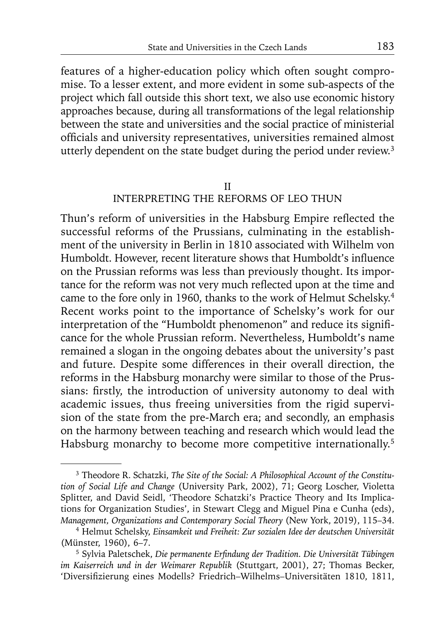features of a higher-education policy which often sought compromise. To a lesser extent, and more evident in some sub-aspects of the project which fall outside this short text, we also use economic history approaches because, during all transformations of the legal relationship between the state and universities and the social practice of ministerial officials and university representatives, universities remained almost utterly dependent on the state budget during the period under review.<sup>3</sup>

#### II

# INTERPRETING THE REFORMS OF LEO THUN

Thun's reform of universities in the Habsburg Empire reflected the successful reforms of the Prussians, culminating in the establishment of the university in Berlin in 1810 associated with Wilhelm von Humboldt. However, recent literature shows that Humboldt's influence on the Prussian reforms was less than previously thought. Its importance for the reform was not very much reflected upon at the time and came to the fore only in 1960, thanks to the work of Helmut Schelsky.4 Recent works point to the importance of Schelsky's work for our interpretation of the "Humboldt phenomenon" and reduce its significance for the whole Prussian reform. Nevertheless, Humboldt's name remained a slogan in the ongoing debates about the university's past and future. Despite some differences in their overall direction, the reforms in the Habsburg monarchy were similar to those of the Prussians: firstly, the introduction of university autonomy to deal with academic issues, thus freeing universities from the rigid supervision of the state from the pre-March era; and secondly, an emphasis on the harmony between teaching and research which would lead the Habsburg monarchy to become more competitive internationally.<sup>5</sup>

<sup>3</sup> Theodore R. Schatzki, *The Site of the Social: A Philosophical Account of the Constitution of Social Life and Change* (University Park, 2002), 71; Georg Loscher, Violetta Splitter, and David Seidl, 'Theodore Schatzki's Practice Theory and Its Implications for Organization Studies', in Stewart Clegg and Miguel Pina e Cunha (eds), *Management, Organizations and Contemporary Social Theory* (New York, 2019), 115–34.

<sup>4</sup> Helmut Schelsky, *Einsamkeit und Freiheit: Zur sozialen Idee der deutschen Universität* (Münster, 1960), 6–7.

<sup>&</sup>lt;sup>5</sup> Sylvia Paletschek, Die permanente Erfindung der Tradition. Die Universität Tübingen *im Kaiserreich und in der Weimarer Republik* (Stuttgart, 2001), 27; Thomas Becker, 'Diversifizierung eines Modells? Friedrich-Wilhelms-Universitäten 1810, 1811,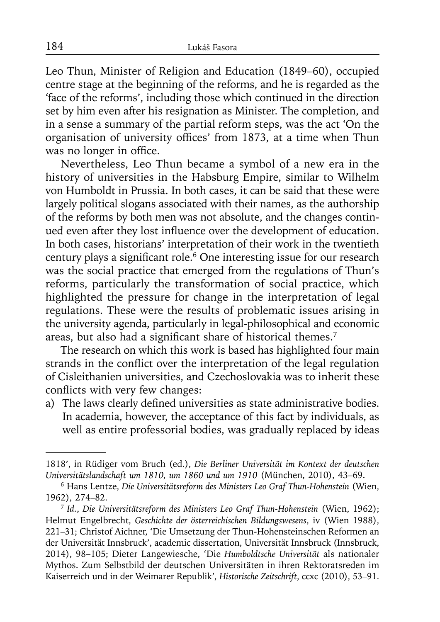Leo Thun, Minister of Religion and Education (1849–60), occupied centre stage at the beginning of the reforms, and he is regarded as the 'face of the reforms', including those which continued in the direction set by him even after his resignation as Minister. The completion, and in a sense a summary of the partial reform steps, was the act 'On the organisation of university offices' from 1873, at a time when Thun was no longer in office.

Nevertheless, Leo Thun became a symbol of a new era in the history of universities in the Habsburg Empire, similar to Wilhelm von Humboldt in Prussia. In both cases, it can be said that these were largely political slogans associated with their names, as the authorship of the reforms by both men was not absolute, and the changes continued even after they lost influence over the development of education. In both cases, historians' interpretation of their work in the twentieth century plays a significant role.<sup>6</sup> One interesting issue for our research was the social practice that emerged from the regulations of Thun's reforms, particularly the transformation of social practice, which highlighted the pressure for change in the interpretation of legal regulations. These were the results of problematic issues arising in the university agenda, particularly in legal-philosophical and economic areas, but also had a significant share of historical themes.<sup>7</sup>

The research on which this work is based has highlighted four main strands in the conflict over the interpretation of the legal regulation of Cisleithanien universities, and Czechoslovakia was to inherit these conflicts with very few changes:

a) The laws clearly defined universities as state administrative bodies. In academia, however, the acceptance of this fact by individuals, as well as entire professorial bodies, was gradually replaced by ideas

<sup>1818&#</sup>x27;, in Rüdiger vom Bruch (ed.), *Die Berliner Universität im Kontext der deutschen Universitätslandschaft um 1810, um 1860 und um 1910* (München, 2010), 43–69.

<sup>6</sup> Hans Lentze, *Die Universitätsreform des Ministers Leo Graf Thun-Hohenstein* (Wien, 1962), 274–82.

<sup>7</sup>*Id.*, *Die Universitätsreform des Ministers Leo Graf Thun-Hohenstein* (Wien, 1962); Helmut Engelbrecht, *Geschichte der österreichischen Bildungswesens*, iv (Wien 1988), 221–31; Christof Aichner, 'Die Umsetzung der Thun-Hohensteinschen Reformen an der Universität Innsbruck', academic dissertation, Universität Innsbruck (Innsbruck, 2014), 98–105; Dieter Langewiesche, 'Die *Humboldtsche Universität* als nationaler Mythos. Zum Selbstbild der deutschen Universitäten in ihren Rektoratsreden im Kaiserreich und in der Weimarer Republik', *Historische Zeitschrift*, ccxc (2010), 53–91.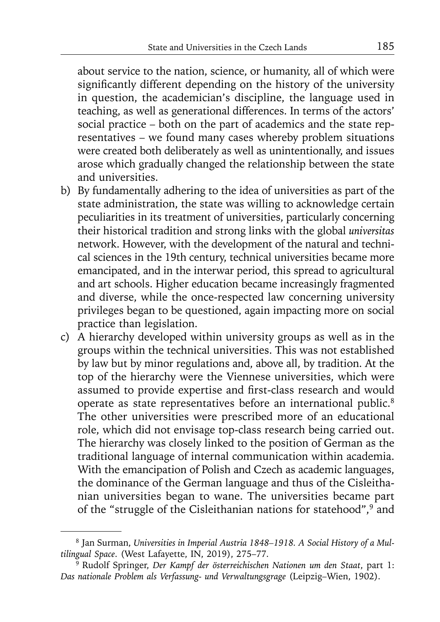about service to the nation, science, or humanity, all of which were significantly different depending on the history of the university in question, the academician's discipline, the language used in teaching, as well as generational differences. In terms of the actors' social practice – both on the part of academics and the state representatives – we found many cases whereby problem situations were created both deliberately as well as unintentionally, and issues arose which gradually changed the relationship between the state and universities.

- b) By fundamentally adhering to the idea of universities as part of the state administration, the state was willing to acknowledge certain peculiarities in its treatment of universities, particularly concerning their historical tradition and strong links with the global *universitas*  network. However, with the development of the natural and technical sciences in the 19th century, technical universities became more emancipated, and in the interwar period, this spread to agricultural and art schools. Higher education became increasingly fragmented and diverse, while the once-respected law concerning university privileges began to be questioned, again impacting more on social practice than legislation.
- c) A hierarchy developed within university groups as well as in the groups within the technical universities. This was not established by law but by minor regulations and, above all, by tradition. At the top of the hierarchy were the Viennese universities, which were assumed to provide expertise and first-class research and would operate as state representatives before an international public.8 The other universities were prescribed more of an educational role, which did not envisage top-class research being carried out. The hierarchy was closely linked to the position of German as the traditional language of internal communication within academia. With the emancipation of Polish and Czech as academic languages, the dominance of the German language and thus of the Cisleithanian universities began to wane. The universities became part of the "struggle of the Cisleithanian nations for statehood",<sup>9</sup> and

<sup>8</sup> Jan Surman, *Universities in Imperial Austria 1848–1918. A Social History of a Multilingual Space*. (West Lafayette, IN, 2019), 275–77.

<sup>9</sup> Rudolf Springer, *Der Kampf der österreichischen Nationen um den Staat*, part 1: *Das nationale Problem als Verfassung- und Verwaltungsgrage* (Leipzig–Wien, 1902).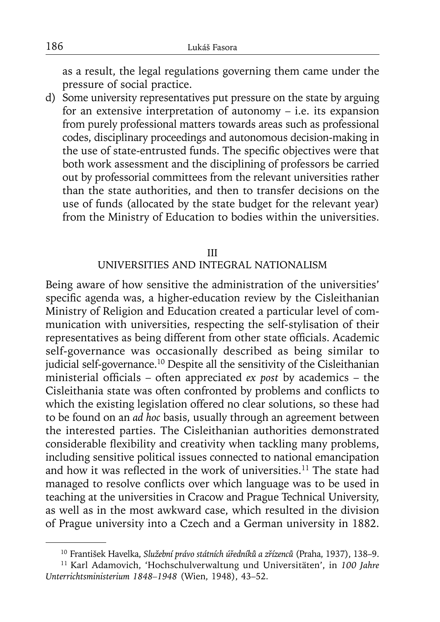as a result, the legal regulations governing them came under the pressure of social practice.

d) Some university representatives put pressure on the state by arguing for an extensive interpretation of autonomy  $-$  i.e. its expansion from purely professional matters towards areas such as professional codes, disciplinary proceedings and autonomous decision-making in the use of state-entrusted funds. The specific objectives were that both work assessment and the disciplining of professors be carried out by professorial committees from the relevant universities rather than the state authorities, and then to transfer decisions on the use of funds (allocated by the state budget for the relevant year) from the Ministry of Education to bodies within the universities.

#### III

### UNIVERSITIES AND INTEGRAL NATIONALISM

Being aware of how sensitive the administration of the universities' specific agenda was, a higher-education review by the Cisleithanian Ministry of Religion and Education created a particular level of communication with universities, respecting the self-stylisation of their representatives as being different from other state officials. Academic self-governance was occasionally described as being similar to judicial self-governance.<sup>10</sup> Despite all the sensitivity of the Cisleithanian ministerial officials – often appreciated *ex post* by academics – the Cisleithania state was often confronted by problems and conflicts to which the existing legislation offered no clear solutions, so these had to be found on an *ad hoc* basis, usually through an agreement between the interested parties. The Cisleithanian authorities demonstrated considerable flexibility and creativity when tackling many problems, including sensitive political issues connected to national emancipation and how it was reflected in the work of universities.<sup>11</sup> The state had managed to resolve conflicts over which language was to be used in teaching at the universities in Cracow and Prague Technical University, as well as in the most awkward case, which resulted in the division of Prague university into a Czech and a German university in 1882.

<sup>10</sup> František Havelka, *Služební právo státních úředníků a zřízenců* (Praha, 1937), 138–9.

<sup>11</sup> Karl Adamovich, 'Hochschulverwaltung und Universitäten', in *100 Jahre Unterrichtsministerium 1848–1948* (Wien, 1948), 43–52.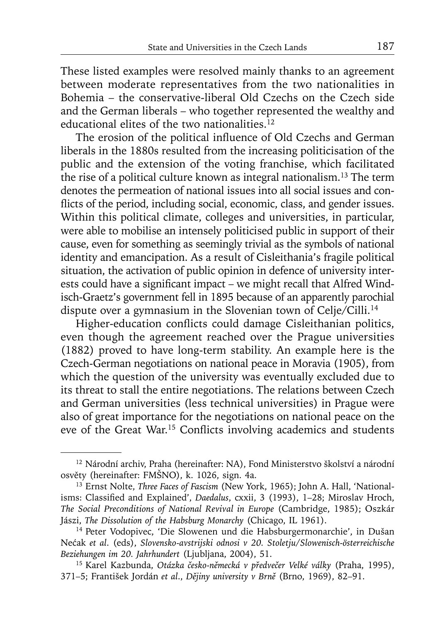These listed examples were resolved mainly thanks to an agreement between moderate representatives from the two nationalities in Bohemia – the conservative-liberal Old Czechs on the Czech side and the German liberals – who together represented the wealthy and educational elites of the two nationalities.<sup>12</sup>

The erosion of the political influence of Old Czechs and German liberals in the 1880s resulted from the increasing politicisation of the public and the extension of the voting franchise, which facilitated the rise of a political culture known as integral nationalism.13 The term denotes the permeation of national issues into all social issues and conflicts of the period, including social, economic, class, and gender issues. Within this political climate, colleges and universities, in particular, were able to mobilise an intensely politicised public in support of their cause, even for something as seemingly trivial as the symbols of national identity and emancipation. As a result of Cisleithania's fragile political situation, the activation of public opinion in defence of university interests could have a significant impact – we might recall that Alfred Windisch-Graetz's government fell in 1895 because of an apparently parochial dispute over a gymnasium in the Slovenian town of Celje/Cilli.<sup>14</sup>

Higher-education conflicts could damage Cisleithanian politics, even though the agreement reached over the Prague universities (1882) proved to have long-term stability. An example here is the Czech-German negotiations on national peace in Moravia (1905), from which the question of the university was eventually excluded due to its threat to stall the entire negotiations. The relations between Czech and German universities (less technical universities) in Prague were also of great importance for the negotiations on national peace on the eve of the Great War.<sup>15</sup> Conflicts involving academics and students

<sup>&</sup>lt;sup>12</sup> Národní archiv, Praha (hereinafter: NA), Fond Ministerstvo školství a národní osvěty (hereinafter: FMŠNO), k. 1026, sign. 4a.

<sup>&</sup>lt;sup>13</sup> Ernst Nolte, *Three Faces of Fascism* (New York, 1965); John A. Hall, 'Nationalisms: Classified and Explained', *Daedalus*, cxxii, 3 (1993), 1-28; Miroslav Hroch, *The Social Preconditions of National Revival in Europe* (Cambridge, 1985); Oszkár Jászi, *The Dissolution of the Habsburg Monarchy* (Chicago, IL 1961).

<sup>14</sup> Peter Vodopivec, 'Die Slowenen und die Habsburgermonarchie', in Dušan Nećak *et al*. (eds), *Slovensko-avstrijski odnosi v 20. Stoletju*/*Slowenisch-österreichische Beziehungen im 20. Jahrhundert* (Ljubljana, 2004), 51.

<sup>15</sup> Karel Kazbunda, *Otázka česko-německá v předvečer Velké války* (Praha, 1995), 371–5; František Jordán *et al*., *Dějiny university v Brně* (Brno, 1969), 82–91.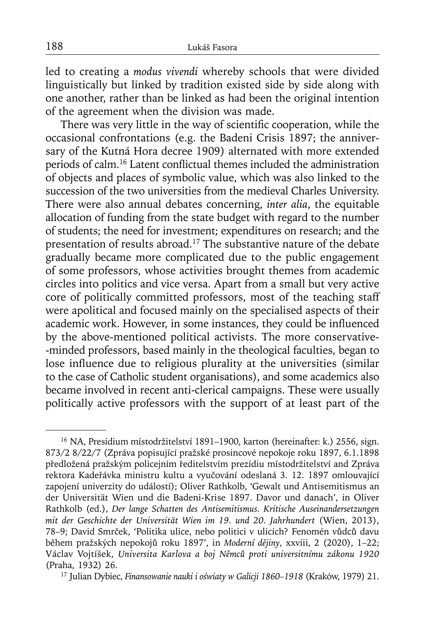led to creating a *modus vivendi* whereby schools that were divided linguistically but linked by tradition existed side by side along with one another, rather than be linked as had been the original intention of the agreement when the division was made.

There was very little in the way of scientific cooperation, while the occasional confrontations (e.g. the Badeni Crisis 1897; the anniversary of the Kutná Hora decree 1909) alternated with more extended periods of calm.<sup>16</sup> Latent conflictual themes included the administration of objects and places of symbolic value, which was also linked to the succession of the two universities from the medieval Charles University. There were also annual debates concerning, *inter alia*, the equitable allocation of funding from the state budget with regard to the number of students; the need for investment; expenditures on research; and the presentation of results abroad.17 The substantive nature of the debate gradually became more complicated due to the public engagement of some professors, whose activities brought themes from academic circles into politics and vice versa. Apart from a small but very active core of politically committed professors, most of the teaching staff were apolitical and focused mainly on the specialised aspects of their academic work. However, in some instances, they could be influenced by the above-mentioned political activists. The more conservative- -minded professors, based mainly in the theological faculties, began to lose influence due to religious plurality at the universities (similar to the case of Catholic student organisations), and some academics also became involved in recent anti-clerical campaigns. These were usually politically active professors with the support of at least part of the

<sup>&</sup>lt;sup>16</sup> NA, Presidium místodržitelství 1891–1900, karton (hereinafter: k.) 2556, sign. 873/2 8/22/7 (Zpráva popisující pražské prosincové nepokoje roku 1897, 6.1.1898 předložená pražským policejním ředitelstvím prezídiu místodržitelství and Zpráva rektora Kadeřávka ministru kultu a vyučování odeslaná 3. 12. 1897 omlouvající zapojení univerzity do událostí); Oliver Rathkolb, 'Gewalt und Antisemitismus an der Universität Wien und die Badeni-Krise 1897. Davor und danach', in Oliver Rathkolb (ed.), *Der lange Schatten des Antisemitismus. Kritische Auseinandersetzungen mit der Geschichte der Universität Wien im 19. und 20. Jahrhundert* (Wien, 2013), 78–9; David Smrček, 'Politika ulice, nebo politici v ulicích? Fenomén vůdců davu během pražských nepokojů roku 1897', in *Moderní dějiny*, xxviii, 2 (2020), 1–22; Václav Vojtíšek, *Universita Karlova a boj Němců proti universitnímu zákonu 1920* (Praha, 1932) 26. 17 Julian Dybiec, *Finansowanie nauki i oświaty w Galicji 1860–1918* (Kraków, 1979) 21.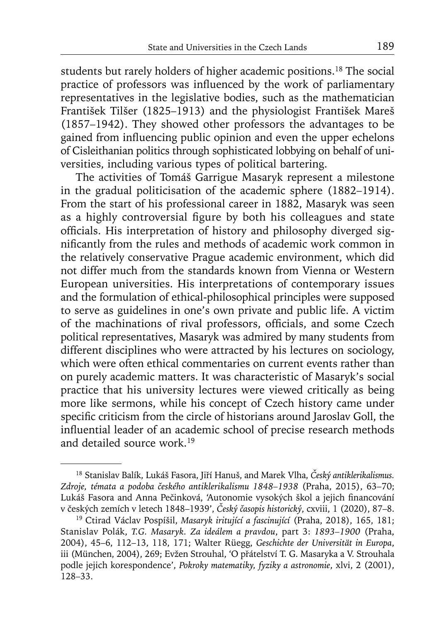students but rarely holders of higher academic positions.18 The social practice of professors was influenced by the work of parliamentary representatives in the legislative bodies, such as the mathematician František Tilšer (1825–1913) and the physiologist František Mareš (1857–1942). They showed other professors the advantages to be gained from influencing public opinion and even the upper echelons of Cisleithanian politics through sophisticated lobbying on behalf of universities, including various types of political bartering.

The activities of Tomáš Garrigue Masaryk represent a milestone in the gradual politicisation of the academic sphere (1882–1914). From the start of his professional career in 1882, Masaryk was seen as a highly controversial figure by both his colleagues and state officials. His interpretation of history and philosophy diverged significantly from the rules and methods of academic work common in the relatively conservative Prague academic environment, which did not differ much from the standards known from Vienna or Western European universities. His interpretations of contemporary issues and the formulation of ethical-philosophical principles were supposed to serve as guidelines in one's own private and public life. A victim of the machinations of rival professors, officials, and some Czech political representatives, Masaryk was admired by many students from different disciplines who were attracted by his lectures on sociology, which were often ethical commentaries on current events rather than on purely academic matters. It was characteristic of Masaryk's social practice that his university lectures were viewed critically as being more like sermons, while his concept of Czech history came under specific criticism from the circle of historians around Jaroslav Goll, the influential leader of an academic school of precise research methods and detailed source work.19

<sup>18</sup> Stanislav Balík, Lukáš Fasora, Jiří Hanuš, and Marek Vlha, *Český antiklerikalismus. Zdroje, témata a podoba českého antiklerikalismu 1848–1938* (Praha, 2015), 63–70; Lukáš Fasora and Anna Pečinková, 'Autonomie vysokých škol a jejich financování v českých zemích v letech 1848–1939', *Český časopis historický*, cxviii, 1 (2020), 87–8.

<sup>19</sup> Ctirad Václav Pospíšil, *Masaryk iritující a fascinující* (Praha, 2018), 165, 181; Stanislav Polák, *T.G. Masaryk. Za ideálem a pravdou*, part 3: *1893–1900* (Praha, 2004), 45–6, 112–13, 118, 171; Walter Rüegg, *Geschichte der Universität in Europa*, iii (München, 2004), 269; Evžen Strouhal, 'O přátelství T. G. Masaryka a V. Strouhala podle jejich korespondence', *Pokroky matematiky, fyziky a astronomie*, xlvi, 2 (2001), 128–33.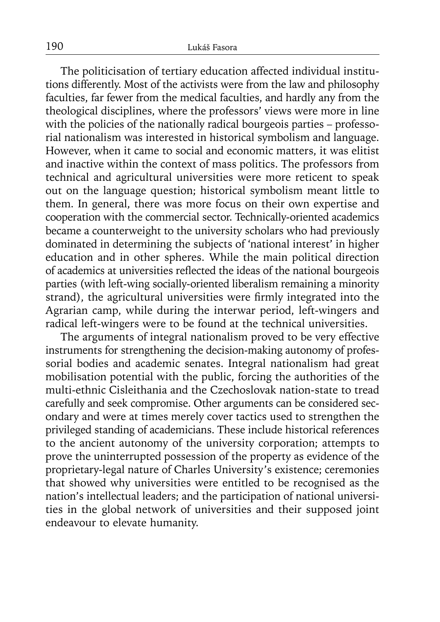The politicisation of tertiary education affected individual institutions differently. Most of the activists were from the law and philosophy faculties, far fewer from the medical faculties, and hardly any from the theological disciplines, where the professors' views were more in line with the policies of the nationally radical bourgeois parties – professorial nationalism was interested in historical symbolism and language. However, when it came to social and economic matters, it was elitist and inactive within the context of mass politics. The professors from technical and agricultural universities were more reticent to speak out on the language question; historical symbolism meant little to them. In general, there was more focus on their own expertise and cooperation with the commercial sector. Technically-oriented academics became a counterweight to the university scholars who had previously dominated in determining the subjects of 'national interest' in higher education and in other spheres. While the main political direction of academics at universities reflected the ideas of the national bourgeois parties (with left-wing socially-oriented liberalism remaining a minority strand), the agricultural universities were firmly integrated into the Agrarian camp, while during the interwar period, left-wingers and radical left-wingers were to be found at the technical universities.

The arguments of integral nationalism proved to be very effective instruments for strengthening the decision-making autonomy of professorial bodies and academic senates. Integral nationalism had great mobilisation potential with the public, forcing the authorities of the multi-ethnic Cisleithania and the Czechoslovak nation-state to tread carefully and seek compromise. Other arguments can be considered secondary and were at times merely cover tactics used to strengthen the privileged standing of academicians. These include historical references to the ancient autonomy of the university corporation; attempts to prove the uninterrupted possession of the property as evidence of the proprietary-legal nature of Charles University's existence; ceremonies that showed why universities were entitled to be recognised as the nation's intellectual leaders; and the participation of national universities in the global network of universities and their supposed joint endeavour to elevate humanity.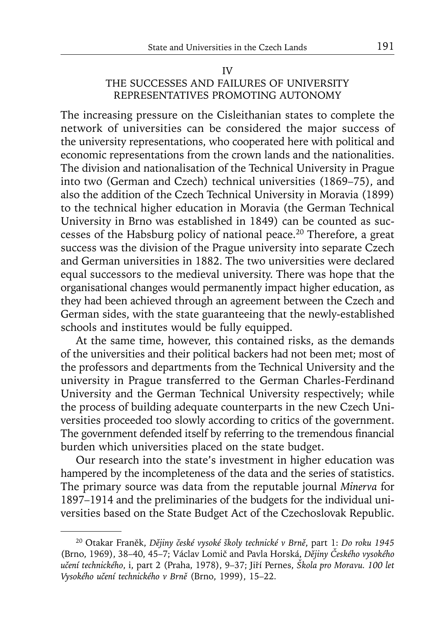# IV THE SUCCESSES AND FAILURES OF UNIVERSITY REPRESENTATIVES PROMOTING AUTONOMY

The increasing pressure on the Cisleithanian states to complete the network of universities can be considered the major success of the university representations, who cooperated here with political and economic representations from the crown lands and the nationalities. The division and nationalisation of the Technical University in Prague into two (German and Czech) technical universities (1869–75), and also the addition of the Czech Technical University in Moravia (1899) to the technical higher education in Moravia (the German Technical University in Brno was established in 1849) can be counted as successes of the Habsburg policy of national peace.20 Therefore, a great success was the division of the Prague university into separate Czech and German universities in 1882. The two universities were declared equal successors to the medieval university. There was hope that the organisational changes would permanently impact higher education, as they had been achieved through an agreement between the Czech and German sides, with the state guaranteeing that the newly-established schools and institutes would be fully equipped.

At the same time, however, this contained risks, as the demands of the universities and their political backers had not been met; most of the professors and departments from the Technical University and the university in Prague transferred to the German Charles-Ferdinand University and the German Technical University respectively; while the process of building adequate counterparts in the new Czech Universities proceeded too slowly according to critics of the government. The government defended itself by referring to the tremendous financial burden which universities placed on the state budget.

Our research into the state's investment in higher education was hampered by the incompleteness of the data and the series of statistics. The primary source was data from the reputable journal *Minerva* for 1897–1914 and the preliminaries of the budgets for the individual universities based on the State Budget Act of the Czechoslovak Republic.

<sup>20</sup> Otakar Franěk, *Dějiny české vysoké školy technické v Brně*, part 1: *Do roku 1945*  (Brno, 1969), 38–40, 45–7; Václav Lomič and Pavla Horská, *Dějiny Českého vysokého učení technického*, i, part 2 (Praha, 1978), 9–37; Jiří Pernes, *Škola pro Moravu. 100 let Vysokého učení technického v Brně* (Brno, 1999), 15–22.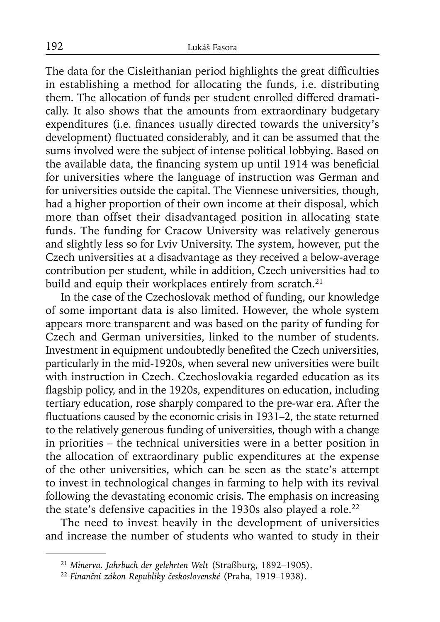The data for the Cisleithanian period highlights the great difficulties in establishing a method for allocating the funds, i.e. distributing them. The allocation of funds per student enrolled differed dramatically. It also shows that the amounts from extraordinary budgetary expenditures (i.e. finances usually directed towards the university's development) fluctuated considerably, and it can be assumed that the sums involved were the subject of intense political lobbying. Based on the available data, the financing system up until 1914 was beneficial for universities where the language of instruction was German and for universities outside the capital. The Viennese universities, though, had a higher proportion of their own income at their disposal, which more than offset their disadvantaged position in allocating state funds. The funding for Cracow University was relatively generous and slightly less so for Lviv University. The system, however, put the Czech universities at a disadvantage as they received a below-average contribution per student, while in addition, Czech universities had to build and equip their workplaces entirely from scratch.<sup>21</sup>

In the case of the Czechoslovak method of funding, our knowledge of some important data is also limited. However, the whole system appears more transparent and was based on the parity of funding for Czech and German universities, linked to the number of students. Investment in equipment undoubtedly benefited the Czech universities, particularly in the mid-1920s, when several new universities were built with instruction in Czech. Czechoslovakia regarded education as its flagship policy, and in the 1920s, expenditures on education, including tertiary education, rose sharply compared to the pre-war era. After the fluctuations caused by the economic crisis in 1931–2, the state returned to the relatively generous funding of universities, though with a change in priorities – the technical universities were in a better position in the allocation of extraordinary public expenditures at the expense of the other universities, which can be seen as the state's attempt to invest in technological changes in farming to help with its revival following the devastating economic crisis. The emphasis on increasing the state's defensive capacities in the 1930s also played a role.<sup>22</sup>

The need to invest heavily in the development of universities and increase the number of students who wanted to study in their

<sup>21</sup>*Minerva. Jahrbuch der gelehrten Welt* (Straßburg, 1892–1905). 22 *Finanční zákon Republiky československé* (Praha, 1919–1938).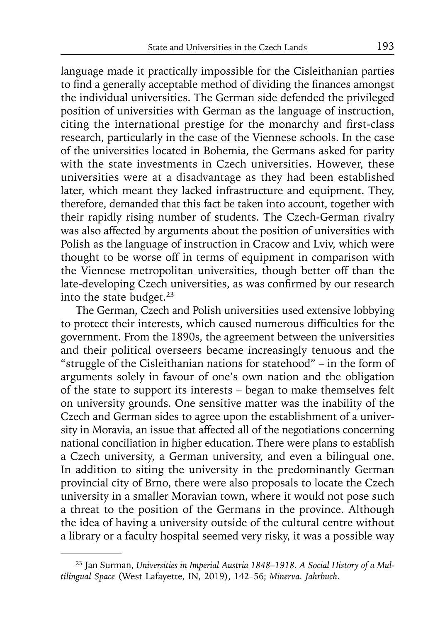language made it practically impossible for the Cisleithanian parties to find a generally acceptable method of dividing the finances amongst the individual universities. The German side defended the privileged position of universities with German as the language of instruction, citing the international prestige for the monarchy and first-class research, particularly in the case of the Viennese schools. In the case of the universities located in Bohemia, the Germans asked for parity with the state investments in Czech universities. However, these universities were at a disadvantage as they had been established later, which meant they lacked infrastructure and equipment. They, therefore, demanded that this fact be taken into account, together with their rapidly rising number of students. The Czech-German rivalry was also affected by arguments about the position of universities with Polish as the language of instruction in Cracow and Lviv, which were thought to be worse off in terms of equipment in comparison with the Viennese metropolitan universities, though better off than the late-developing Czech universities, as was confirmed by our research into the state budget.<sup>23</sup>

The German, Czech and Polish universities used extensive lobbying to protect their interests, which caused numerous difficulties for the government. From the 1890s, the agreement between the universities and their political overseers became increasingly tenuous and the "struggle of the Cisleithanian nations for statehood" – in the form of arguments solely in favour of one's own nation and the obligation of the state to support its interests – began to make themselves felt on university grounds. One sensitive matter was the inability of the Czech and German sides to agree upon the establishment of a university in Moravia, an issue that affected all of the negotiations concerning national conciliation in higher education. There were plans to establish a Czech university, a German university, and even a bilingual one. In addition to siting the university in the predominantly German provincial city of Brno, there were also proposals to locate the Czech university in a smaller Moravian town, where it would not pose such a threat to the position of the Germans in the province. Although the idea of having a university outside of the cultural centre without a library or a faculty hospital seemed very risky, it was a possible way

<sup>23</sup> Jan Surman, *Universities in Imperial Austria 1848–1918. A Social History of a Multilingual Space* (West Lafayette, IN, 2019), 142–56; *Minerva. Jahrbuch*.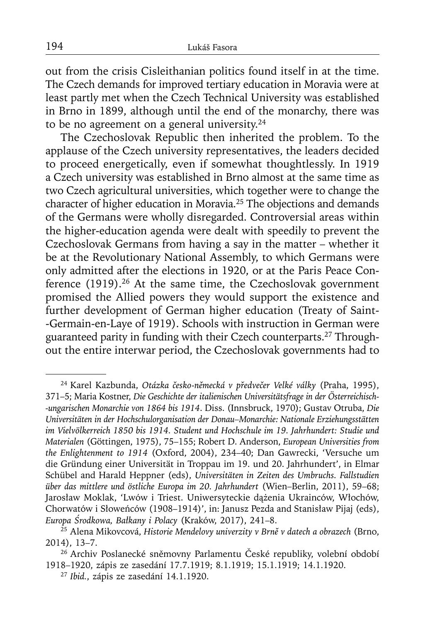out from the crisis Cisleithanian politics found itself in at the time. The Czech demands for improved tertiary education in Moravia were at least partly met when the Czech Technical University was established in Brno in 1899, although until the end of the monarchy, there was to be no agreement on a general university.24

The Czechoslovak Republic then inherited the problem. To the applause of the Czech university representatives, the leaders decided to proceed energetically, even if somewhat thoughtlessly. In 1919 a Czech university was established in Brno almost at the same time as two Czech agricultural universities, which together were to change the character of higher education in Moravia.25 The objections and demands of the Germans were wholly disregarded. Controversial areas within the higher-education agenda were dealt with speedily to prevent the Czechoslovak Germans from having a say in the matter – whether it be at the Revolutionary National Assembly, to which Germans were only admitted after the elections in 1920, or at the Paris Peace Conference (1919).<sup>26</sup> At the same time, the Czechoslovak government promised the Allied powers they would support the existence and further development of German higher education (Treaty of Saint- -Germain-en-Laye of 1919). Schools with instruction in German were guaranteed parity in funding with their Czech counterparts.27 Throughout the entire interwar period, the Czechoslovak governments had to

<sup>24</sup> Karel Kazbunda, *Otázka česko-německá v předvečer Velké války* (Praha, 1995), 371–5; Maria Kostner, *Die Geschichte der italienischen Universitätsfrage in der Österreichisch- -ungarischen Monarchie von 1864 bis 1914*. Diss. (Innsbruck, 1970); Gustav Otruba, *Die Universitäten in der Hochschulorganisation der Donau–Monarchie: Nationale Erziehungsstätten im Vielvölkerreich 1850 bis 1914. Student und Hochschule im 19. Jahrhundert: Studie und Materialen* (Göttingen, 1975), 75–155; Robert D. Anderson, *European Universities from the Enlightenment to 1914* (Oxford, 2004), 234–40; Dan Gawrecki, 'Versuche um die Gründung einer Universität in Troppau im 19. und 20. Jahrhundert', in Elmar Schübel and Harald Heppner (eds), *Universitäten in Zeiten des Umbruchs. Fallstudien über das mittlere und östliche Europa im 20. Jahrhundert* (Wien–Berlin, 2011), 59–68; Jarosław Moklak, 'Lwów i Triest. Uniwersyteckie dążenia Ukrainców, Włochów, Chorwatów i Słoweńców (1908–1914)', in: Janusz Pezda and Stanisław Pijaj (eds), *Europa Środkowa, Bałkany i Polacy* (Kraków, 2017), 241–8.

<sup>25</sup> Alena Mikovcová, *Historie Mendelovy univerzity v Brně v datech a obrazech* (Brno, 2014), 13–7.

<sup>&</sup>lt;sup>26</sup> Archiv Poslanecké sněmovny Parlamentu České republiky, volební období 1918–1920, zápis ze zasedání 17.7.1919; 8.1.1919; 15.1.1919; 14.1.1920. 27 *Ibid.*, zápis ze zasedání 14.1.1920.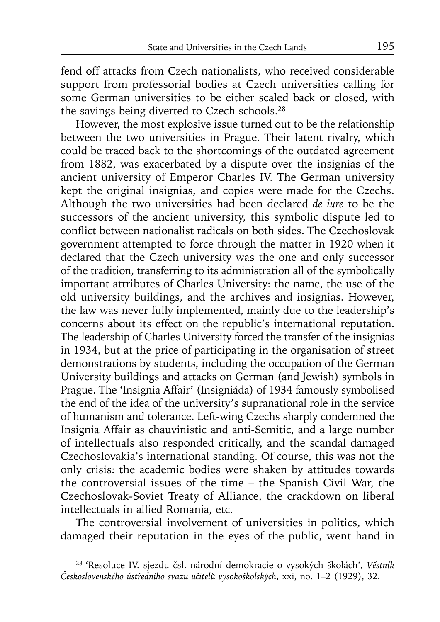fend off attacks from Czech nationalists, who received considerable support from professorial bodies at Czech universities calling for some German universities to be either scaled back or closed, with the savings being diverted to Czech schools.28

However, the most explosive issue turned out to be the relationship between the two universities in Prague. Their latent rivalry, which could be traced back to the shortcomings of the outdated agreement from 1882, was exacerbated by a dispute over the insignias of the ancient university of Emperor Charles IV. The German university kept the original insignias, and copies were made for the Czechs. Although the two universities had been declared *de iure* to be the successors of the ancient university, this symbolic dispute led to conflict between nationalist radicals on both sides. The Czechoslovak government attempted to force through the matter in 1920 when it declared that the Czech university was the one and only successor of the tradition, transferring to its administration all of the symbolically important attributes of Charles University: the name, the use of the old university buildings, and the archives and insignias. However, the law was never fully implemented, mainly due to the leadership's concerns about its effect on the republic's international reputation. The leadership of Charles University forced the transfer of the insignias in 1934, but at the price of participating in the organisation of street demonstrations by students, including the occupation of the German University buildings and attacks on German (and Jewish) symbols in Prague. The 'Insignia Affair' (Insigniáda) of 1934 famously symbolised the end of the idea of the university's supranational role in the service of humanism and tolerance. Left-wing Czechs sharply condemned the Insignia Affair as chauvinistic and anti-Semitic, and a large number of intellectuals also responded critically, and the scandal damaged Czechoslovakia's international standing. Of course, this was not the only crisis: the academic bodies were shaken by attitudes towards the controversial issues of the time – the Spanish Civil War, the Czechoslovak-Soviet Treaty of Alliance, the crackdown on liberal intellectuals in allied Romania, etc.

The controversial involvement of universities in politics, which damaged their reputation in the eyes of the public, went hand in

<sup>28 &#</sup>x27;Resoluce IV. sjezdu čsl. národní demokracie o vysokých školách', *Věstník Československého ústředního svazu učitelů vysokoškolských*, xxi, no. 1–2 (1929), 32.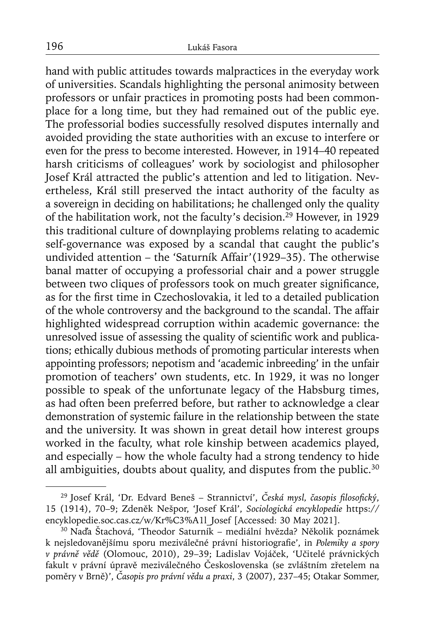hand with public attitudes towards malpractices in the everyday work of universities. Scandals highlighting the personal animosity between professors or unfair practices in promoting posts had been commonplace for a long time, but they had remained out of the public eye. The professorial bodies successfully resolved disputes internally and avoided providing the state authorities with an excuse to interfere or even for the press to become interested. However, in 1914–40 repeated harsh criticisms of colleagues' work by sociologist and philosopher Josef Král attracted the public's attention and led to litigation. Nevertheless, Král still preserved the intact authority of the faculty as a sovereign in deciding on habilitations; he challenged only the quality of the habilitation work, not the faculty's decision.29 However, in 1929 this traditional culture of downplaying problems relating to academic self-governance was exposed by a scandal that caught the public's undivided attention – the 'Saturník Affair'(1929–35). The otherwise banal matter of occupying a professorial chair and a power struggle between two cliques of professors took on much greater significance, as for the first time in Czechoslovakia, it led to a detailed publication of the whole controversy and the background to the scandal. The affair highlighted widespread corruption within academic governance: the unresolved issue of assessing the quality of scientific work and publications; ethically dubious methods of promoting particular interests when appointing professors; nepotism and 'academic inbreeding' in the unfair promotion of teachers' own students, etc. In 1929, it was no longer possible to speak of the unfortunate legacy of the Habsburg times, as had often been preferred before, but rather to acknowledge a clear demonstration of systemic failure in the relationship between the state and the university. It was shown in great detail how interest groups worked in the faculty, what role kinship between academics played, and especially – how the whole faculty had a strong tendency to hide all ambiguities, doubts about quality, and disputes from the public.<sup>30</sup>

<sup>&</sup>lt;sup>29</sup> Josef Král, 'Dr. Edvard Beneš – Strannictví', Česká mysl, časopis filosofický, 15 (1914), 70–9; Zdeněk Nešpor, 'Josef Král', *Sociologická encyklopedie* https:// encyklopedie.soc.cas.cz/w/Kr%C3%A1l\_Josef [Accessed: 30 May 2021].

<sup>30</sup> Naďa Štachová, 'Theodor Saturník – mediální hvězda? Několik poznámek k nejsledovanějšímu sporu meziválečné právní historiografie', in *Polemiky a spory v právně vědě* (Olomouc, 2010), 29–39; Ladislav Vojáček, 'Učitelé právnických fakult v právní úpravě meziválečného Československa (se zvláštním zřetelem na poměry v Brně)', *Časopis pro právní vědu a praxi*, 3 (2007), 237–45; Otakar Sommer,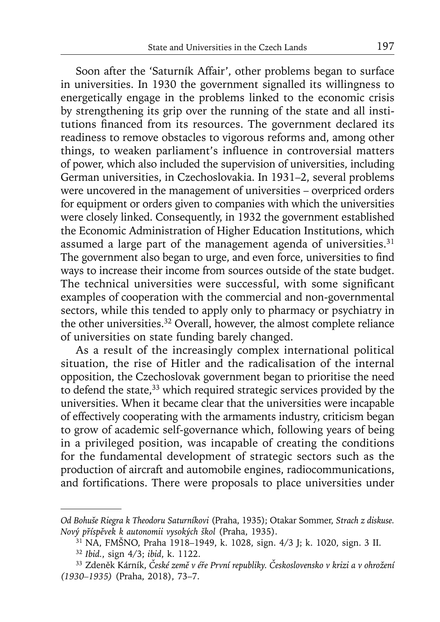Soon after the 'Saturník Affair', other problems began to surface in universities. In 1930 the government signalled its willingness to energetically engage in the problems linked to the economic crisis by strengthening its grip over the running of the state and all institutions financed from its resources. The government declared its readiness to remove obstacles to vigorous reforms and, among other things, to weaken parliament's influence in controversial matters of power, which also included the supervision of universities, including German universities, in Czechoslovakia. In 1931–2, several problems were uncovered in the management of universities – overpriced orders for equipment or orders given to companies with which the universities were closely linked. Consequently, in 1932 the government established the Economic Administration of Higher Education Institutions, which assumed a large part of the management agenda of universities. $31$ The government also began to urge, and even force, universities to find ways to increase their income from sources outside of the state budget. The technical universities were successful, with some significant examples of cooperation with the commercial and non-governmental sectors, while this tended to apply only to pharmacy or psychiatry in the other universities.32 Overall, however, the almost complete reliance of universities on state funding barely changed.

As a result of the increasingly complex international political situation, the rise of Hitler and the radicalisation of the internal opposition, the Czechoslovak government began to prioritise the need to defend the state,33 which required strategic services provided by the universities. When it became clear that the universities were incapable of effectively cooperating with the armaments industry, criticism began to grow of academic self-governance which, following years of being in a privileged position, was incapable of creating the conditions for the fundamental development of strategic sectors such as the production of aircraft and automobile engines, radiocommunications, and fortifications. There were proposals to place universities under

*Od Bohuše Riegra k Theodoru Saturníkovi* (Praha, 1935); Otakar Sommer, *Strach z diskuse. Nový příspěvek k autonomii vysokých škol* (Praha, 1935).

<sup>31</sup> NA, FMŠNO, Praha 1918–1949, k. 1028, sign. 4/3 J; k. 1020, sign. 3 II.

<sup>32</sup>*Ibid.*, sign 4/3; *ibid*, k. 1122.

<sup>33</sup> Zdeněk Kárník, *České země v éře První republiky. Československo v krizi a v ohrožení (1930–1935)* (Praha, 2018), 73–7.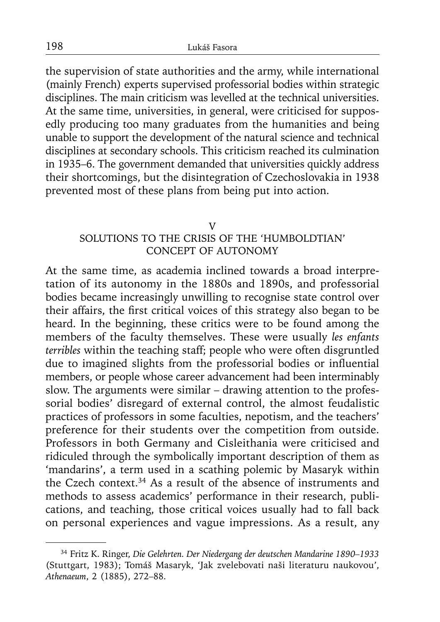the supervision of state authorities and the army, while international (mainly French) experts supervised professorial bodies within strategic disciplines. The main criticism was levelled at the technical universities. At the same time, universities, in general, were criticised for supposedly producing too many graduates from the humanities and being unable to support the development of the natural science and technical disciplines at secondary schools. This criticism reached its culmination in 1935–6. The government demanded that universities quickly address their shortcomings, but the disintegration of Czechoslovakia in 1938 prevented most of these plans from being put into action.

#### V

# SOLUTIONS TO THE CRISIS OF THE 'HUMBOLDTIAN' CONCEPT OF AUTONOMY

At the same time, as academia inclined towards a broad interpretation of its autonomy in the 1880s and 1890s, and professorial bodies became increasingly unwilling to recognise state control over their affairs, the first critical voices of this strategy also began to be heard. In the beginning, these critics were to be found among the members of the faculty themselves. These were usually *les enfants terribles* within the teaching staff; people who were often disgruntled due to imagined slights from the professorial bodies or influential members, or people whose career advancement had been interminably slow. The arguments were similar – drawing attention to the professorial bodies' disregard of external control, the almost feudalistic practices of professors in some faculties, nepotism, and the teachers' preference for their students over the competition from outside. Professors in both Germany and Cisleithania were criticised and ridiculed through the symbolically important description of them as 'mandarins', a term used in a scathing polemic by Masaryk within the Czech context.34 As a result of the absence of instruments and methods to assess academics' performance in their research, publications, and teaching, those critical voices usually had to fall back on personal experiences and vague impressions. As a result, any

<sup>34</sup> Fritz K. Ringer, *Die Gelehrten. Der Niedergang der deutschen Mandarine 1890–1933* (Stuttgart, 1983); Tomáš Masaryk, 'Jak zvelebovati naši literaturu naukovou', *Athenaeum*, 2 (1885), 272–88.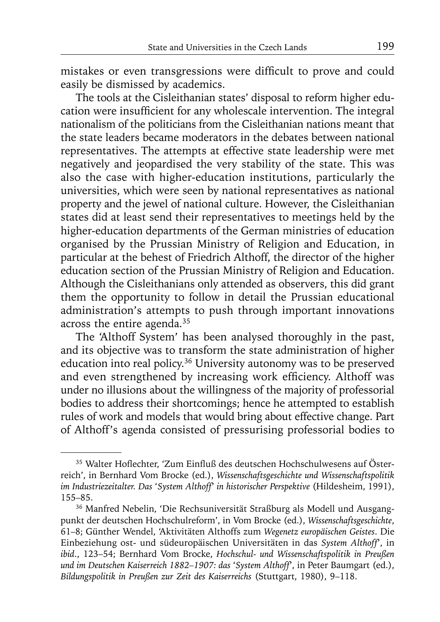mistakes or even transgressions were difficult to prove and could easily be dismissed by academics.

The tools at the Cisleithanian states' disposal to reform higher education were insufficient for any wholescale intervention. The integral nationalism of the politicians from the Cisleithanian nations meant that the state leaders became moderators in the debates between national representatives. The attempts at effective state leadership were met negatively and jeopardised the very stability of the state. This was also the case with higher-education institutions, particularly the universities, which were seen by national representatives as national property and the jewel of national culture. However, the Cisleithanian states did at least send their representatives to meetings held by the higher-education departments of the German ministries of education organised by the Prussian Ministry of Religion and Education, in particular at the behest of Friedrich Althoff, the director of the higher education section of the Prussian Ministry of Religion and Education. Although the Cisleithanians only attended as observers, this did grant them the opportunity to follow in detail the Prussian educational administration's attempts to push through important innovations across the entire agenda.35

The 'Althoff System' has been analysed thoroughly in the past, and its objective was to transform the state administration of higher education into real policy.<sup>36</sup> University autonomy was to be preserved and even strengthened by increasing work efficiency. Althoff was under no illusions about the willingness of the majority of professorial bodies to address their shortcomings; hence he attempted to establish rules of work and models that would bring about effective change. Part of Althoff's agenda consisted of pressurising professorial bodies to

<sup>35</sup> Walter Hoflechter, 'Zum Einfluß des deutschen Hochschulwesens auf Österreich', in Bernhard Vom Brocke (ed.), *Wissenschaftsgeschichte und Wissenschaftspolitik im Industriezeitalter. Das* '*System Althoff*' *in historischer Perspektive* (Hildesheim, 1991), 155–85.

<sup>36</sup> Manfred Nebelin, 'Die Rechsuniversität Straßburg als Modell und Ausgangpunkt der deutschen Hochschulreform', in Vom Brocke (ed.), *Wissenschaftsgeschichte*, 61–8; Günther Wendel, 'Aktivitäten Althoffs zum *Wegenetz europäischen Geistes*. Die Einbeziehung ost- und südeuropäischen Universitäten in das *System Althoff*', in *ibid*., 123–54; Bernhard Vom Brocke, *Hochschul- und Wissenschaftspolitik in Preußen und im Deutschen Kaiserreich 1882–1907: das* '*System Althoff*', in Peter Baumgart (ed.), *Bildungspolitik in Preußen zur Zeit des Kaiserreichs* (Stuttgart, 1980), 9–118.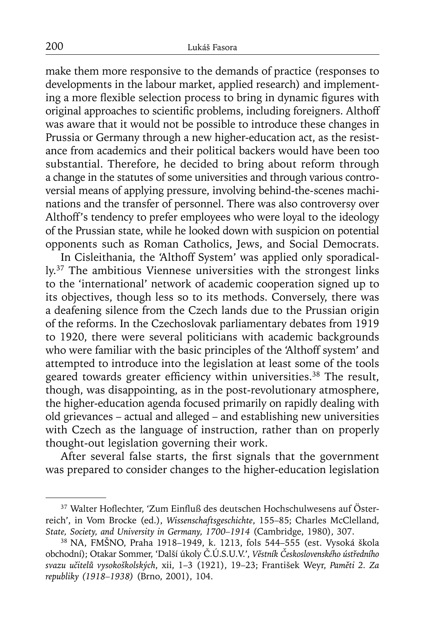make them more responsive to the demands of practice (responses to developments in the labour market, applied research) and implementing a more flexible selection process to bring in dynamic figures with original approaches to scientific problems, including foreigners. Althoff was aware that it would not be possible to introduce these changes in Prussia or Germany through a new higher-education act, as the resistance from academics and their political backers would have been too substantial. Therefore, he decided to bring about reform through a change in the statutes of some universities and through various controversial means of applying pressure, involving behind-the-scenes machinations and the transfer of personnel. There was also controversy over Althoff's tendency to prefer employees who were loyal to the ideology of the Prussian state, while he looked down with suspicion on potential opponents such as Roman Catholics, Jews, and Social Democrats.

In Cisleithania, the 'Althoff System' was applied only sporadically.37 The ambitious Viennese universities with the strongest links to the 'international' network of academic cooperation signed up to its objectives, though less so to its methods. Conversely, there was a deafening silence from the Czech lands due to the Prussian origin of the reforms. In the Czechoslovak parliamentary debates from 1919 to 1920, there were several politicians with academic backgrounds who were familiar with the basic principles of the 'Althoff system' and attempted to introduce into the legislation at least some of the tools geared towards greater efficiency within universities.<sup>38</sup> The result, though, was disappointing, as in the post-revolutionary atmosphere, the higher-education agenda focused primarily on rapidly dealing with old grievances – actual and alleged – and establishing new universities with Czech as the language of instruction, rather than on properly thought-out legislation governing their work.

After several false starts, the first signals that the government was prepared to consider changes to the higher-education legislation

<sup>&</sup>lt;sup>37</sup> Walter Hoflechter, 'Zum Einfluß des deutschen Hochschulwesens auf Österreich', in Vom Brocke (ed.), *Wissenschaftsgeschichte*, 155–85; Charles McClelland, *State, Society, and University in Germany, 1700–1914* (Cambridge, 1980), 307.

<sup>38</sup> NA, FMŠNO, Praha 1918–1949, k. 1213, fols 544–555 (est. Vysoká škola obchodní); Otakar Sommer, 'Další úkoly Č.Ú.S.U.V.', *Věstník Československého ústředního svazu učitelů vysokoškolských*, xii, 1–3 (1921), 19–23; František Weyr, *Paměti 2. Za republiky (1918–1938)* (Brno, 2001), 104.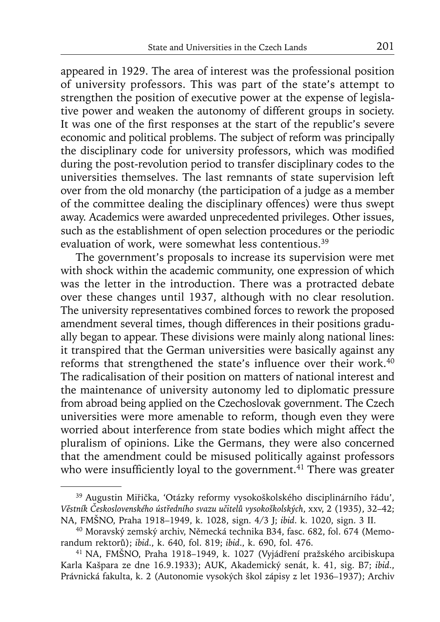appeared in 1929. The area of interest was the professional position of university professors. This was part of the state's attempt to strengthen the position of executive power at the expense of legislative power and weaken the autonomy of different groups in society. It was one of the first responses at the start of the republic's severe economic and political problems. The subject of reform was principally the disciplinary code for university professors, which was modified during the post-revolution period to transfer disciplinary codes to the universities themselves. The last remnants of state supervision left over from the old monarchy (the participation of a judge as a member of the committee dealing the disciplinary offences) were thus swept away. Academics were awarded unprecedented privileges. Other issues, such as the establishment of open selection procedures or the periodic evaluation of work, were somewhat less contentious.<sup>39</sup>

The government's proposals to increase its supervision were met with shock within the academic community, one expression of which was the letter in the introduction. There was a protracted debate over these changes until 1937, although with no clear resolution. The university representatives combined forces to rework the proposed amendment several times, though differences in their positions gradually began to appear. These divisions were mainly along national lines: it transpired that the German universities were basically against any reforms that strengthened the state's influence over their work. $40$ The radicalisation of their position on matters of national interest and the maintenance of university autonomy led to diplomatic pressure from abroad being applied on the Czechoslovak government. The Czech universities were more amenable to reform, though even they were worried about interference from state bodies which might affect the pluralism of opinions. Like the Germans, they were also concerned that the amendment could be misused politically against professors who were insufficiently loyal to the government.<sup>41</sup> There was greater

<sup>39</sup> Augustin Miřička, 'Otázky reformy vysokoškolského disciplinárního řádu', *Věstník Československého ústředního svazu učitelů vysokoškolských*, xxv, 2 (1935), 32–42; NA, FMŠNO, Praha 1918–1949, k. 1028, sign. 4/3 J; *ibid*. k. 1020, sign. 3 II.

<sup>40</sup> Moravský zemský archiv, Německá technika B34, fasc. 682, fol. 674 (Memorandum rektorů); *ibid*., k. 640, fol. 819; *ibid*., k. 690, fol. 476.

<sup>41</sup> NA, FMŠNO, Praha 1918–1949, k. 1027 (Vyjádření pražského arcibiskupa Karla Kašpara ze dne 16.9.1933); AUK, Akademický senát, k. 41, sig. B7; *ibid*., Právnická fakulta, k. 2 (Autonomie vysokých škol zápisy z let 1936–1937); Archiv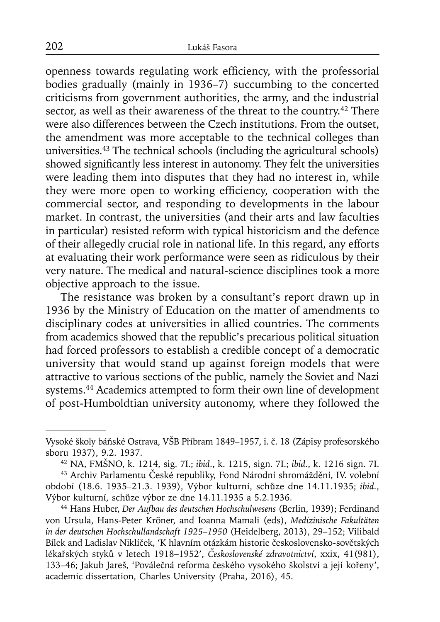openness towards regulating work efficiency, with the professorial bodies gradually (mainly in 1936–7) succumbing to the concerted criticisms from government authorities, the army, and the industrial sector, as well as their awareness of the threat to the country.<sup>42</sup> There were also differences between the Czech institutions. From the outset, the amendment was more acceptable to the technical colleges than universities.43 The technical schools (including the agricultural schools) showed significantly less interest in autonomy. They felt the universities were leading them into disputes that they had no interest in, while they were more open to working efficiency, cooperation with the commercial sector, and responding to developments in the labour market. In contrast, the universities (and their arts and law faculties in particular) resisted reform with typical historicism and the defence of their allegedly crucial role in national life. In this regard, any efforts at evaluating their work performance were seen as ridiculous by their very nature. The medical and natural-science disciplines took a more objective approach to the issue.

The resistance was broken by a consultant's report drawn up in 1936 by the Ministry of Education on the matter of amendments to disciplinary codes at universities in allied countries. The comments from academics showed that the republic's precarious political situation had forced professors to establish a credible concept of a democratic university that would stand up against foreign models that were attractive to various sections of the public, namely the Soviet and Nazi systems.44 Academics attempted to form their own line of development of post-Humboldtian university autonomy, where they followed the

Vysoké školy báňské Ostrava, VŠB Příbram 1849–1957, i. č. 18 (Zápisy profesorského sboru 1937), 9.2. 1937. 42 NA, FMŠNO, k. 1214, sig. 7I.; *ibid*., k. 1215, sign. 7I.; *ibid*., k. 1216 sign. 7I.

<sup>43</sup> Archiv Parlamentu České republiky, Fond Národní shromáždění, IV. volební období (18.6. 1935–21.3. 1939), Výbor kulturní, schůze dne 14.11.1935; *ibid.*, Výbor kulturní, schůze výbor ze dne 14.11.1935 a 5.2.1936.

<sup>44</sup> Hans Huber, *Der Aufbau des deutschen Hochschulwesens* (Berlin, 1939); Ferdinand von Ursula, Hans-Peter Kröner, and Ioanna Mamali (eds), *Medizinische Fakultäten in der deutschen Hochschullandschaft 1925–1950* (Heidelberg, 2013), 29–152; Vilibald Bílek and Ladislav Niklíček, 'K hlavním otázkám historie československo-sovětských lékařských styků v letech 1918–1952', *Československé zdravotnictví*, xxix, 41(981), 133–46; Jakub Jareš, 'Poválečná reforma českého vysokého školství a její kořeny', academic dissertation, Charles University (Praha, 2016), 45.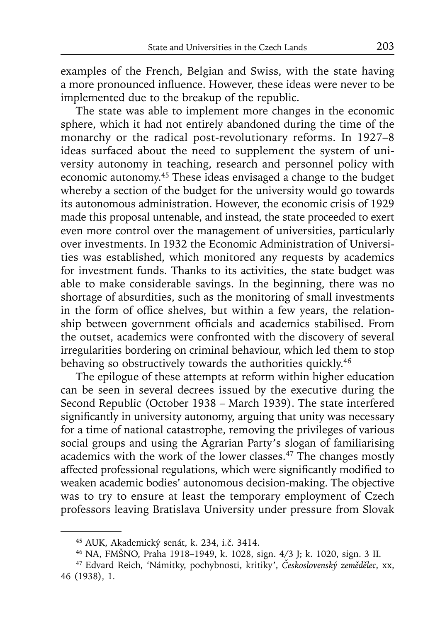examples of the French, Belgian and Swiss, with the state having a more pronounced influence. However, these ideas were never to be implemented due to the breakup of the republic.

The state was able to implement more changes in the economic sphere, which it had not entirely abandoned during the time of the monarchy or the radical post-revolutionary reforms. In 1927–8 ideas surfaced about the need to supplement the system of university autonomy in teaching, research and personnel policy with economic autonomy.45 These ideas envisaged a change to the budget whereby a section of the budget for the university would go towards its autonomous administration. However, the economic crisis of 1929 made this proposal untenable, and instead, the state proceeded to exert even more control over the management of universities, particularly over investments. In 1932 the Economic Administration of Universities was established, which monitored any requests by academics for investment funds. Thanks to its activities, the state budget was able to make considerable savings. In the beginning, there was no shortage of absurdities, such as the monitoring of small investments in the form of office shelves, but within a few years, the relationship between government officials and academics stabilised. From the outset, academics were confronted with the discovery of several irregularities bordering on criminal behaviour, which led them to stop behaving so obstructively towards the authorities quickly.<sup>46</sup>

The epilogue of these attempts at reform within higher education can be seen in several decrees issued by the executive during the Second Republic (October 1938 – March 1939). The state interfered significantly in university autonomy, arguing that unity was necessary for a time of national catastrophe, removing the privileges of various social groups and using the Agrarian Party's slogan of familiarising academics with the work of the lower classes.47 The changes mostly affected professional regulations, which were significantly modified to weaken academic bodies' autonomous decision-making. The objective was to try to ensure at least the temporary employment of Czech professors leaving Bratislava University under pressure from Slovak

<sup>45</sup> AUK, Akademický senát, k. 234, i.č. 3414.

<sup>46</sup> NA, FMŠNO, Praha 1918–1949, k. 1028, sign. 4/3 J; k. 1020, sign. 3 II.

<sup>47</sup> Edvard Reich, 'Námitky, pochybnosti, kritiky', *Československý zemědělec*, xx, 46 (1938), 1.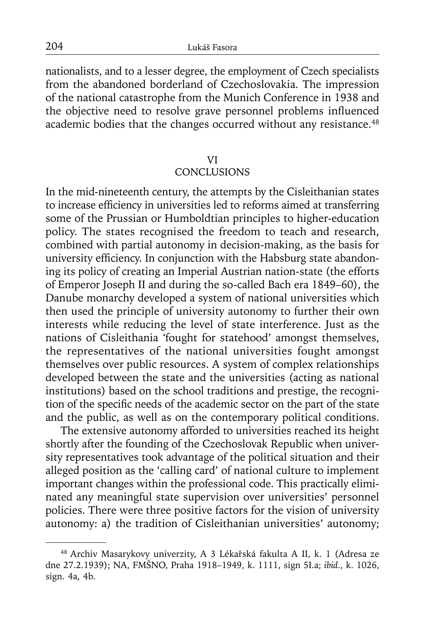nationalists, and to a lesser degree, the employment of Czech specialists from the abandoned borderland of Czechoslovakia. The impression of the national catastrophe from the Munich Conference in 1938 and the objective need to resolve grave personnel problems influenced academic bodies that the changes occurred without any resistance.<sup>48</sup>

#### VI

### **CONCLUSIONS**

In the mid-nineteenth century, the attempts by the Cisleithanian states to increase efficiency in universities led to reforms aimed at transferring some of the Prussian or Humboldtian principles to higher-education policy. The states recognised the freedom to teach and research, combined with partial autonomy in decision-making, as the basis for university efficiency. In conjunction with the Habsburg state abandoning its policy of creating an Imperial Austrian nation-state (the efforts of Emperor Joseph II and during the so-called Bach era 1849–60), the Danube monarchy developed a system of national universities which then used the principle of university autonomy to further their own interests while reducing the level of state interference. Just as the nations of Cisleithania 'fought for statehood' amongst themselves, the representatives of the national universities fought amongst themselves over public resources. A system of complex relationships developed between the state and the universities (acting as national institutions) based on the school traditions and prestige, the recognition of the specific needs of the academic sector on the part of the state and the public, as well as on the contemporary political conditions.

The extensive autonomy afforded to universities reached its height shortly after the founding of the Czechoslovak Republic when university representatives took advantage of the political situation and their alleged position as the 'calling card' of national culture to implement important changes within the professional code. This practically eliminated any meaningful state supervision over universities' personnel policies. There were three positive factors for the vision of university autonomy: a) the tradition of Cisleithanian universities' autonomy;

<sup>48</sup> Archiv Masarykovy univerzity, A 3 Lékařská fakulta A II, k. 1 (Adresa ze dne 27.2.1939); NA, FMŠNO, Praha 1918–1949, k. 1111, sign 5I.a; *ibid*., k. 1026, sign. 4a, 4b.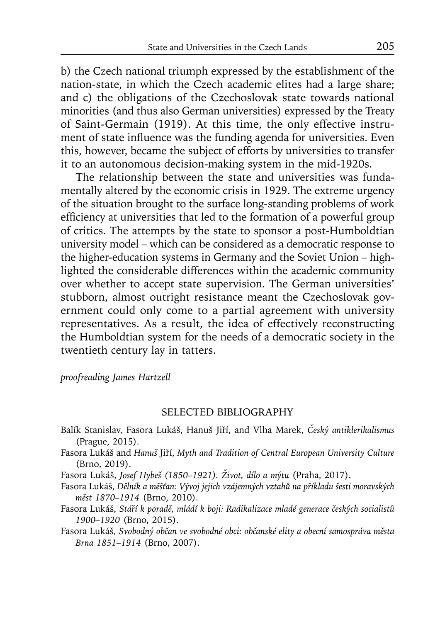b) the Czech national triumph expressed by the establishment of the nation-state, in which the Czech academic elites had a large share; and c) the obligations of the Czechoslovak state towards national minorities (and thus also German universities) expressed by the Treaty of Saint-Germain (1919). At this time, the only effective instrument of state influence was the funding agenda for universities. Even this, however, became the subject of efforts by universities to transfer it to an autonomous decision-making system in the mid-1920s.

The relationship between the state and universities was fundamentally altered by the economic crisis in 1929. The extreme urgency of the situation brought to the surface long-standing problems of work efficiency at universities that led to the formation of a powerful group of critics. The attempts by the state to sponsor a post-Humboldtian university model – which can be considered as a democratic response to the higher-education systems in Germany and the Soviet Union – highlighted the considerable differences within the academic community over whether to accept state supervision. The German universities' stubborn, almost outright resistance meant the Czechoslovak government could only come to a partial agreement with university representatives. As a result, the idea of effectively reconstructing the Humboldtian system for the needs of a democratic society in the twentieth century lay in tatters.

*proofreading James Hartzell*

### SELECTED BIBLIOGRAPHY

- Balík Stanislav, Fasora Lukáš, Hanuš Jiří, and Vlha Marek, *Český antiklerikalismus* (Prague, 2015).
- Fasora Lukáš and *Hanuš* Jiří, *Myth and Tradition of Central European University Culture* (Brno, 2019).

Fasora Lukáš, *Josef Hybeš (1850–1921). Život, dílo a mýtu* (Praha, 2017).

- Fasora Lukáš, *Dělník a měšťan: Vývoj jejich vzájemných vztahů na příkladu šesti moravských měst 1870–1914* (Brno, 2010).
- Fasora Lukáš, *Stáří k poradě, mládí k boji: Radikalizace mladé generace českých socialistů 1900–1920* (Brno, 2015).
- Fasora Lukáš, *Svobodný občan ve svobodné obci: občanské elity a obecní samospráva města Brna 1851–1914* (Brno, 2007).